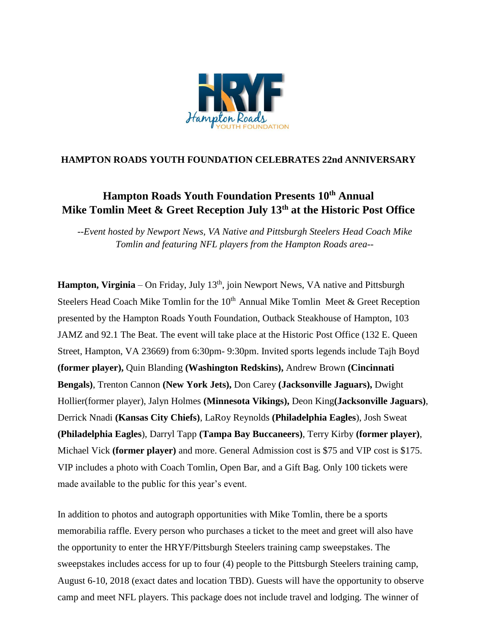

## **HAMPTON ROADS YOUTH FOUNDATION CELEBRATES 22nd ANNIVERSARY**

## **Hampton Roads Youth Foundation Presents 10th Annual Mike Tomlin Meet & Greet Reception July 13 th at the Historic Post Office**

*--Event hosted by Newport News, VA Native and Pittsburgh Steelers Head Coach Mike Tomlin and featuring NFL players from the Hampton Roads area--*

**Hampton, Virginia** – On Friday, July 13<sup>th</sup>, join Newport News, VA native and Pittsburgh Steelers Head Coach Mike Tomlin for the  $10<sup>th</sup>$  Annual Mike Tomlin Meet & Greet Reception presented by the Hampton Roads Youth Foundation, Outback Steakhouse of Hampton, 103 JAMZ and 92.1 The Beat. The event will take place at the Historic Post Office (132 E. Queen Street, Hampton, VA 23669) from 6:30pm- 9:30pm. Invited sports legends include Tajh Boyd **(former player),** Quin Blanding **(Washington Redskins),** Andrew Brown **(Cincinnati Bengals)**, Trenton Cannon **(New York Jets),** Don Carey **(Jacksonville Jaguars),** Dwight Hollier(former player), Jalyn Holmes **(Minnesota Vikings),** Deon King**(Jacksonville Jaguars)**, Derrick Nnadi **(Kansas City Chiefs)**, LaRoy Reynolds **(Philadelphia Eagles**), Josh Sweat **(Philadelphia Eagles**), Darryl Tapp **(Tampa Bay Buccaneers)**, Terry Kirby **(former player)**, Michael Vick **(former player)** and more. General Admission cost is \$75 and VIP cost is \$175. VIP includes a photo with Coach Tomlin, Open Bar, and a Gift Bag. Only 100 tickets were made available to the public for this year's event.

In addition to photos and autograph opportunities with Mike Tomlin, there be a sports memorabilia raffle. Every person who purchases a ticket to the meet and greet will also have the opportunity to enter the HRYF/Pittsburgh Steelers training camp sweepstakes. The sweepstakes includes access for up to four (4) people to the Pittsburgh Steelers training camp, August 6-10, 2018 (exact dates and location TBD). Guests will have the opportunity to observe camp and meet NFL players. This package does not include travel and lodging. The winner of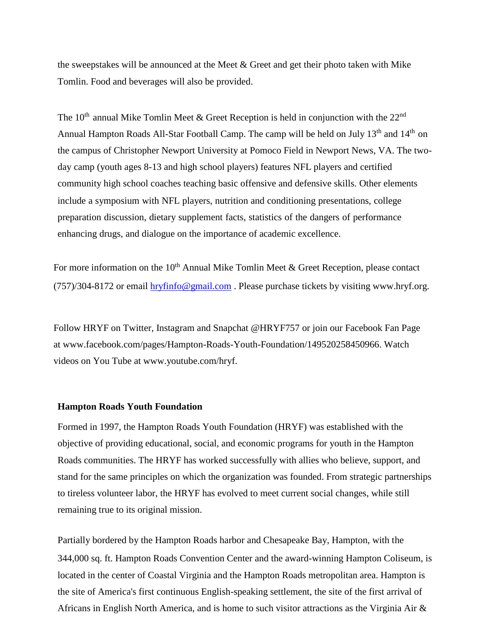the sweepstakes will be announced at the Meet  $\&$  Greet and get their photo taken with Mike Tomlin. Food and beverages will also be provided.

The 10<sup>th</sup> annual Mike Tomlin Meet & Greet Reception is held in conjunction with the  $22<sup>nd</sup>$ Annual Hampton Roads All-Star Football Camp. The camp will be held on July 13<sup>th</sup> and 14<sup>th</sup> on the campus of Christopher Newport University at Pomoco Field in Newport News, VA. The twoday camp (youth ages 8-13 and high school players) features NFL players and certified community high school coaches teaching basic offensive and defensive skills. Other elements include a symposium with NFL players, nutrition and conditioning presentations, college preparation discussion, dietary supplement facts, statistics of the dangers of performance enhancing drugs, and dialogue on the importance of academic excellence.

For more information on the  $10<sup>th</sup>$  Annual Mike Tomlin Meet & Greet Reception, please contact (757)/304-8172 or email hryfinfo@gmail.com . Please purchase tickets by visiting www.hryf.org.

Follow HRYF on Twitter, Instagram and Snapchat @HRYF757 or join our Facebook Fan Page at www.facebook.com/pages/Hampton-Roads-Youth-Foundation/149520258450966. Watch videos on You Tube at www.youtube.com/hryf.

## **Hampton Roads Youth Foundation**

Formed in 1997, the Hampton Roads Youth Foundation (HRYF) was established with the objective of providing educational, social, and economic programs for youth in the Hampton Roads communities. The HRYF has worked successfully with allies who believe, support, and stand for the same principles on which the organization was founded. From strategic partnerships to tireless volunteer labor, the HRYF has evolved to meet current social changes, while still remaining true to its original mission.

Partially bordered by the Hampton Roads harbor and Chesapeake Bay, Hampton, with the 344,000 sq. ft. Hampton Roads Convention Center and the award-winning Hampton Coliseum, is located in the center of Coastal Virginia and the Hampton Roads metropolitan area. Hampton is the site of America's first continuous English-speaking settlement, the site of the first arrival of Africans in English North America, and is home to such visitor attractions as the Virginia Air  $\&$